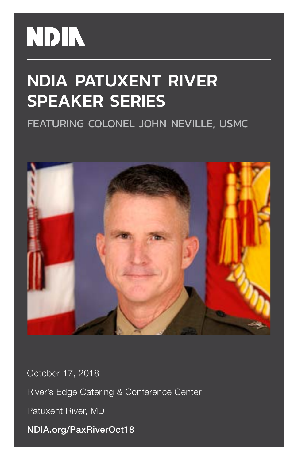# **NDIN**

## NDIA PATUXENT RIVER SPEAKER SERIES

FEATURING COLONEL JOHN NEVILLE, USMC



October 17, 2018 River's Edge Catering & Conference Center Patuxent River, MD NDIA.org/PaxRiverOct18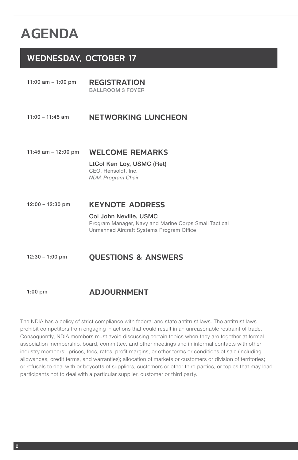### AGENDA

#### WEDNESDAY, OCTOBER 17

11:00 am - 1:00 pm REGISTRATION

BALLROOM 3 FOYER

#### 11:00 - 11:45 am NETWORKING LUNCHEON

#### 11:45 am – 12:00 pm WELCOME REMARKS

LtCol Ken Loy, USMC (Ret) CEO, Hensoldt, Inc. *NDIA Program Chair*

#### 12:00 – 12:30 pm KEYNOTE ADDRESS

Col John Neville, USMC Program Manager, Navy and Marine Corps Small Tactical Unmanned Aircraft Systems Program Office

#### 12:30 – 1:00 pm QUESTIONS & ANSWERS

#### 1:00 pm ADJOURNMENT

The NDIA has a policy of strict compliance with federal and state antitrust laws. The antitrust laws prohibit competitors from engaging in actions that could result in an unreasonable restraint of trade. Consequently, NDIA members must avoid discussing certain topics when they are together at formal association membership, board, committee, and other meetings and in informal contacts with other industry members: prices, fees, rates, profit margins, or other terms or conditions of sale (including allowances, credit terms, and warranties); allocation of markets or customers or division of territories; or refusals to deal with or boycotts of suppliers, customers or other third parties, or topics that may lead participants not to deal with a particular supplier, customer or third party.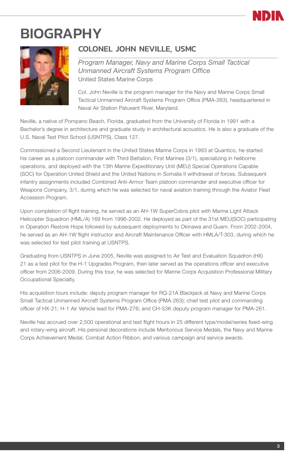

### BIOGRAPHY



#### COLONEL JOHN NEVILLE, USMC

*Program Manager, Navy and Marine Corps Small Tactical Unmanned Aircraft Systems Program Office* United States Marine Corps

Col. John Neville is the program manager for the Navy and Marine Corps Small Tactical Unmanned Aircraft Systems Program Office (PMA-263), headquartered in Naval Air Station Patuxent River, Maryland.

Neville, a native of Pompano Beach, Florida, graduated from the University of Florida in 1991 with a Bachelor's degree in architecture and graduate study in architectural acoustics. He is also a graduate of the U.S. Naval Test Pilot School (USNTPS), Class 127.

Commissioned a Second Lieutenant in the United States Marine Corps in 1993 at Quantico, he started his career as a platoon commander with Third Battalion, First Marines (3/1), specializing in heliborne operations, and deployed with the 13th Marine Expeditionary Unit (MEU) Special Operations Capable (SOC) for Operation United Shield and the United Nations in Somalia II withdrawal of forces. Subsequent infantry assignments included Combined Anti-Armor Team platoon commander and executive officer for Weapons Company, 3/1, during which he was selected for naval aviation training through the Aviator Fleet Accession Program.

Upon completion of flight training, he served as an AH-1W SuperCobra pilot with Marine Light Attack Helicopter Squadron (HML/A) 169 from 1996-2002. He deployed as part of the 31st MEU(SOC) participating in Operation Restore Hope followed by subsequent deployments to Okinawa and Guam. From 2002-2004, he served as an AH-1W flight instructor and Aircraft Maintenance Officer with HMLA/T-303, during which he was selected for test pilot training at USNTPS.

Graduating from USNTPS in June 2005, Neville was assigned to Air Test and Evaluation Squadron (HX) 21 as a test pilot for the H-1 Upgrades Program, then later served as the operations officer and executive officer from 2006-2009. During this tour, he was selected for Marine Corps Acquisition Professional Military Occupational Specialty.

His acquisition tours include: deputy program manager for RQ-21A Blackjack at Navy and Marine Corps Small Tactical Unmanned Aircraft Systems Program Office (PMA-263); chief test pilot and commanding officer of HX-21; H-1 Air Vehicle lead for PMA-276; and CH-53K deputy program manager for PMA-261.

Neville has accrued over 2,500 operational and test flight hours in 25 different type/model/series fixed-wing and rotary-wing aircraft. His personal decorations include Meritorious Service Medals, the Navy and Marine Corps Achievement Medal, Combat Action Ribbon, and various campaign and service awards.